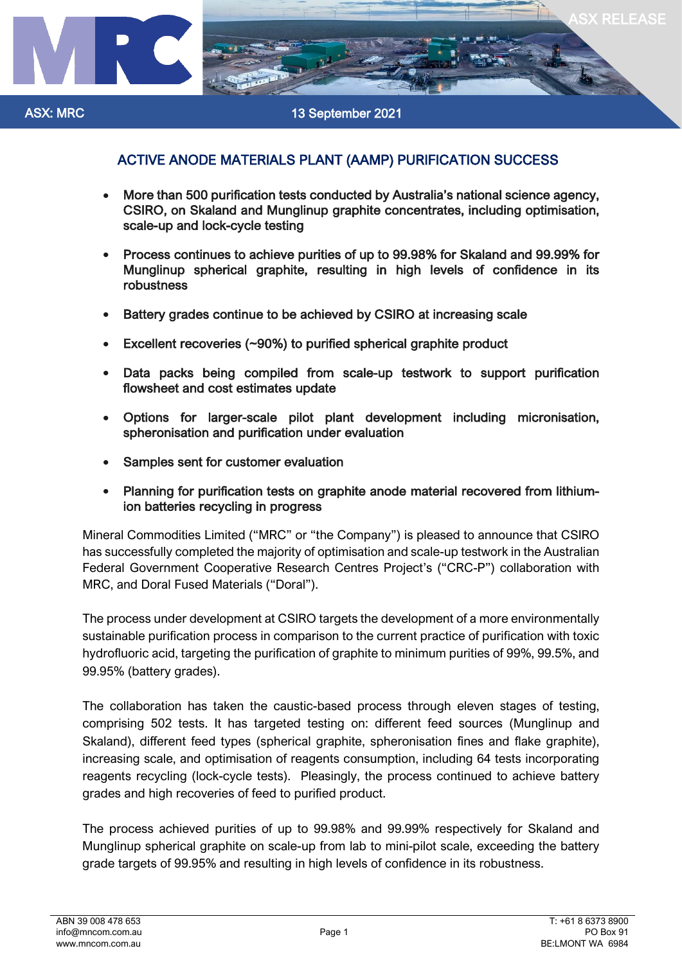

## ACTIVE ANODE MATERIALS PLANT (AAMP) PURIFICATION SUCCESS

- More than 500 purification tests conducted by Australia's national science agency, CSIRO, on Skaland and Munglinup graphite concentrates, including optimisation, scale-up and lock-cycle testing
- Process continues to achieve purities of up to 99.98% for Skaland and 99.99% for Munglinup spherical graphite, resulting in high levels of confidence in its robustness
- Battery grades continue to be achieved by CSIRO at increasing scale
- Excellent recoveries (~90%) to purified spherical graphite product
- Data packs being compiled from scale-up testwork to support purification flowsheet and cost estimates update
- Options for larger-scale pilot plant development including micronisation, spheronisation and purification under evaluation
- Samples sent for customer evaluation
- Planning for purification tests on graphite anode material recovered from lithiumion batteries recycling in progress

Mineral Commodities Limited ("MRC" or "the Company") is pleased to announce that CSIRO has successfully completed the majority of optimisation and scale-up testwork in the Australian Federal Government Cooperative Research Centres Project's ("CRC-P") collaboration with MRC, and Doral Fused Materials ("Doral").

The process under development at CSIRO targets the development of a more environmentally sustainable purification process in comparison to the current practice of purification with toxic hydrofluoric acid, targeting the purification of graphite to minimum purities of 99%, 99.5%, and 99.95% (battery grades).

The collaboration has taken the caustic-based process through eleven stages of testing, comprising 502 tests. It has targeted testing on: different feed sources (Munglinup and Skaland), different feed types (spherical graphite, spheronisation fines and flake graphite), increasing scale, and optimisation of reagents consumption, including 64 tests incorporating reagents recycling (lock-cycle tests). Pleasingly, the process continued to achieve battery grades and high recoveries of feed to purified product.

The process achieved purities of up to 99.98% and 99.99% respectively for Skaland and Munglinup spherical graphite on scale-up from lab to mini-pilot scale, exceeding the battery grade targets of 99.95% and resulting in high levels of confidence in its robustness.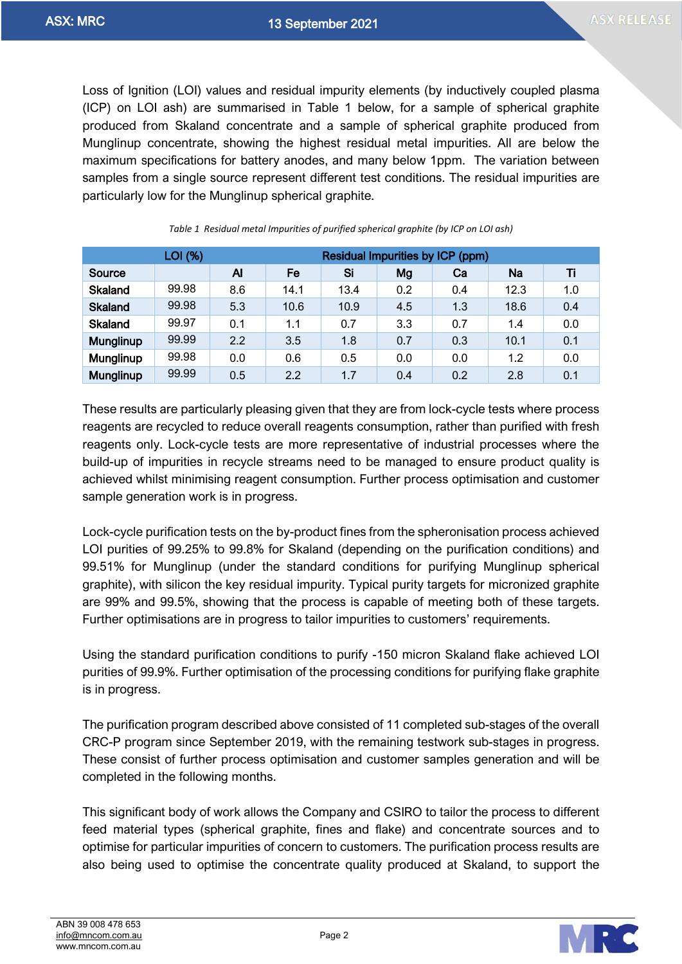Loss of Ignition (LOI) values and residual impurity elements (by inductively coupled plasma (ICP) on LOI ash) are summarised in [Table 1](#page-1-0) below, for a sample of spherical graphite produced from Skaland concentrate and a sample of spherical graphite produced from Munglinup concentrate, showing the highest residual metal impurities. All are below the maximum specifications for battery anodes, and many below 1ppm. The variation between samples from a single source represent different test conditions. The residual impurities are particularly low for the Munglinup spherical graphite.

<span id="page-1-0"></span>

|                | LOI (%) |     | Residual Impurities by ICP (ppm) |      |     |     |      |     |
|----------------|---------|-----|----------------------------------|------|-----|-----|------|-----|
| Source         |         | Al  | Fe                               | Si   | Mg  | Ca  | Na   | Ti  |
| <b>Skaland</b> | 99.98   | 8.6 | 14.1                             | 13.4 | 0.2 | 0.4 | 12.3 | 1.0 |
| <b>Skaland</b> | 99.98   | 5.3 | 10.6                             | 10.9 | 4.5 | 1.3 | 18.6 | 0.4 |
| <b>Skaland</b> | 99.97   | 0.1 | 1.1                              | 0.7  | 3.3 | 0.7 | 1.4  | 0.0 |
| Munglinup      | 99.99   | 2.2 | 3.5                              | 1.8  | 0.7 | 0.3 | 10.1 | 0.1 |
| Munglinup      | 99.98   | 0.0 | 0.6                              | 0.5  | 0.0 | 0.0 | 1.2  | 0.0 |
| Munglinup      | 99.99   | 0.5 | 2.2                              | 1.7  | 0.4 | 0.2 | 2.8  | 0.1 |

*Table 1 Residual metal Impurities of purified spherical graphite (by ICP on LOI ash)*

These results are particularly pleasing given that they are from lock-cycle tests where process reagents are recycled to reduce overall reagents consumption, rather than purified with fresh reagents only. Lock-cycle tests are more representative of industrial processes where the build-up of impurities in recycle streams need to be managed to ensure product quality is achieved whilst minimising reagent consumption. Further process optimisation and customer sample generation work is in progress.

Lock-cycle purification tests on the by-product fines from the spheronisation process achieved LOI purities of 99.25% to 99.8% for Skaland (depending on the purification conditions) and 99.51% for Munglinup (under the standard conditions for purifying Munglinup spherical graphite), with silicon the key residual impurity. Typical purity targets for micronized graphite are 99% and 99.5%, showing that the process is capable of meeting both of these targets. Further optimisations are in progress to tailor impurities to customers' requirements.

Using the standard purification conditions to purify -150 micron Skaland flake achieved LOI purities of 99.9%. Further optimisation of the processing conditions for purifying flake graphite is in progress.

The purification program described above consisted of 11 completed sub-stages of the overall CRC-P program since September 2019, with the remaining testwork sub-stages in progress. These consist of further process optimisation and customer samples generation and will be completed in the following months.

This significant body of work allows the Company and CSIRO to tailor the process to different feed material types (spherical graphite, fines and flake) and concentrate sources and to optimise for particular impurities of concern to customers. The purification process results are also being used to optimise the concentrate quality produced at Skaland, to support the

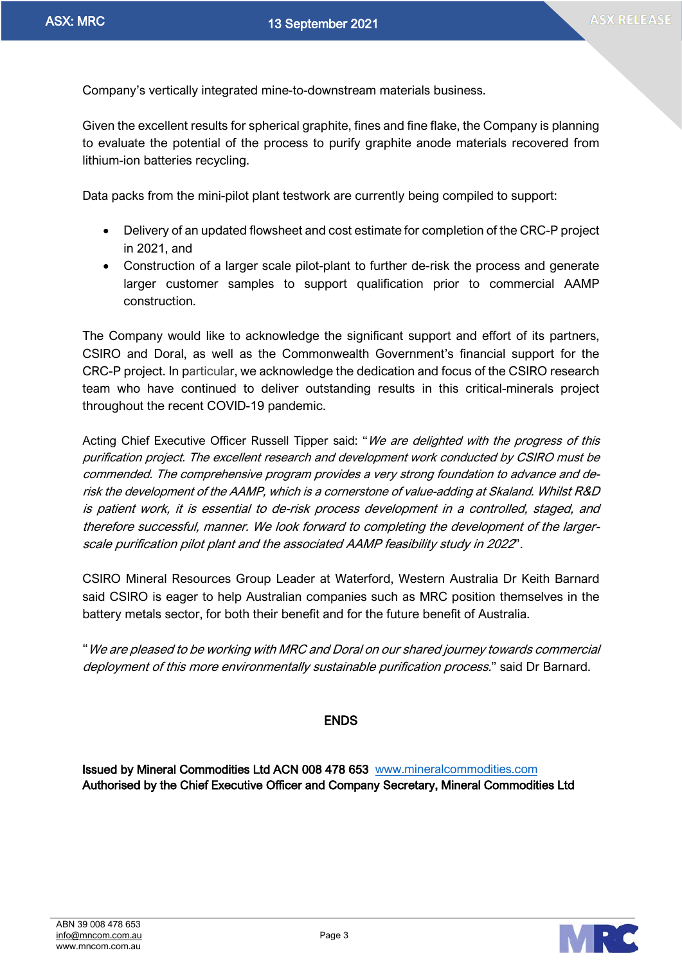Company's vertically integrated mine-to-downstream materials business.

Given the excellent results for spherical graphite, fines and fine flake, the Company is planning to evaluate the potential of the process to purify graphite anode materials recovered from lithium-ion batteries recycling.

Data packs from the mini-pilot plant testwork are currently being compiled to support:

- Delivery of an updated flowsheet and cost estimate for completion of the CRC-P project in 2021, and
- Construction of a larger scale pilot-plant to further de-risk the process and generate larger customer samples to support qualification prior to commercial AAMP construction.

The Company would like to acknowledge the significant support and effort of its partners, CSIRO and Doral, as well as the Commonwealth Government's financial support for the CRC-P project. In particular, we acknowledge the dedication and focus of the CSIRO research team who have continued to deliver outstanding results in this critical-minerals project throughout the recent COVID-19 pandemic.

Acting Chief Executive Officer Russell Tipper said: "We are delighted with the progress of this purification project. The excellent research and development work conducted by CSIRO must be commended. The comprehensive program provides a very strong foundation to advance and derisk the development of the AAMP, which is a cornerstone of value-adding at Skaland. Whilst R&D is patient work, it is essential to de-risk process development in a controlled, staged, and therefore successful, manner. We look forward to completing the development of the largerscale purification pilot plant and the associated AAMP feasibility study in 2022".

CSIRO Mineral Resources Group Leader at Waterford, Western Australia Dr Keith Barnard said CSIRO is eager to help Australian companies such as MRC position themselves in the battery metals sector, for both their benefit and for the future benefit of Australia.

"We are pleased to be working with MRC and Doral on our shared journey towards commercial deployment of this more environmentally sustainable purification process." said Dr Barnard.

## ENDS

Issued by Mineral Commodities Ltd ACN 008 478 653 [www.mineralcommodities.com](http://www.mineralcommodities.com/) Authorised by the Chief Executive Officer and Company Secretary, Mineral Commodities Ltd